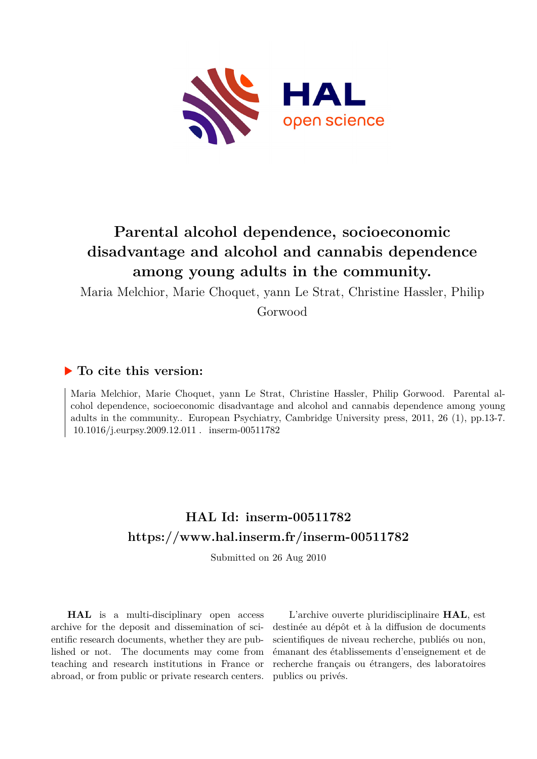

# **Parental alcohol dependence, socioeconomic disadvantage and alcohol and cannabis dependence among young adults in the community.**

Maria Melchior, Marie Choquet, yann Le Strat, Christine Hassler, Philip

Gorwood

## **To cite this version:**

Maria Melchior, Marie Choquet, yann Le Strat, Christine Hassler, Philip Gorwood. Parental alcohol dependence, socioeconomic disadvantage and alcohol and cannabis dependence among young adults in the community.. European Psychiatry, Cambridge University press, 2011, 26 (1), pp.13-7.  $10.1016$ /j.eurpsy.2009.12.011. inserm-00511782

# **HAL Id: inserm-00511782 <https://www.hal.inserm.fr/inserm-00511782>**

Submitted on 26 Aug 2010

**HAL** is a multi-disciplinary open access archive for the deposit and dissemination of scientific research documents, whether they are published or not. The documents may come from teaching and research institutions in France or abroad, or from public or private research centers.

L'archive ouverte pluridisciplinaire **HAL**, est destinée au dépôt et à la diffusion de documents scientifiques de niveau recherche, publiés ou non, émanant des établissements d'enseignement et de recherche français ou étrangers, des laboratoires publics ou privés.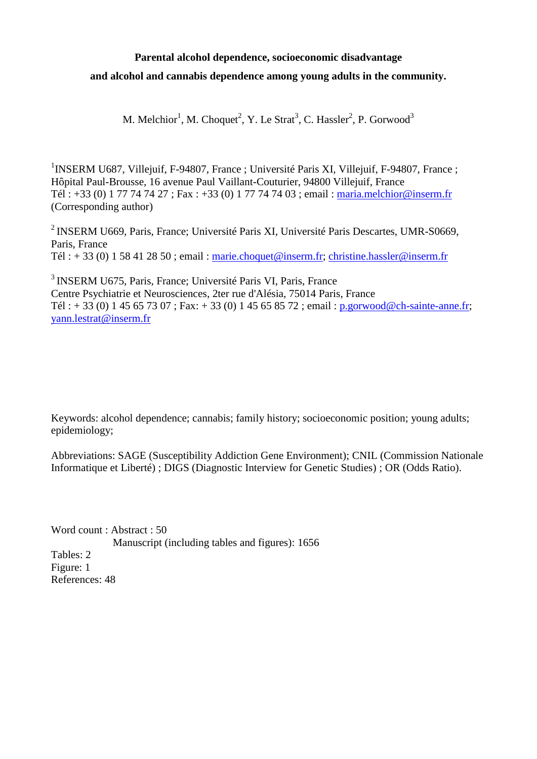# **Parental alcohol dependence, socioeconomic disadvantage and alcohol and cannabis dependence among young adults in the community.**

M. Melchior<sup>1</sup>, M. Choquet<sup>2</sup>, Y. Le Strat<sup>3</sup>, C. Hassler<sup>2</sup>, P. Gorwood<sup>3</sup>

<sup>1</sup>INSERM U687, Villejuif, F-94807, France ; Université Paris XI, Villejuif, F-94807, France ; Hôpital Paul-Brousse, 16 avenue Paul Vaillant-Couturier, 94800 Villejuif, France Tél : +33 (0) 1 77 74 74 27 ; Fax : +33 (0) 1 77 74 74 03 ; email : [maria.melchior@inserm.fr](mailto:maria.melchior@inserm.fr) (Corresponding author)

<sup>2</sup> INSERM U669, Paris, France; Université Paris XI, Université Paris Descartes, UMR-S0669, Paris, France Tél : + 33 (0) 1 58 41 28 50 ; email : [marie.choquet@inserm.fr;](mailto:marie.choquet@inserm.fr) christine.hassler@inserm.fr

3 INSERM U675, Paris, France; Université Paris VI, Paris, France Centre Psychiatrie et Neurosciences, 2ter rue d'Alésia, 75014 Paris, France Tél : + 33 (0) 1 45 65 73 07 ; Fax: + 33 (0) 1 45 65 85 72 ; email : [p.gorwood@ch-sainte-anne.fr;](mailto:p.gorwood@ch-sainte-anne.fr) yann.lestrat@inserm.fr

Keywords: alcohol dependence; cannabis; family history; socioeconomic position; young adults; epidemiology;

Abbreviations: SAGE (Susceptibility Addiction Gene Environment); CNIL (Commission Nationale Informatique et Liberté) ; DIGS (Diagnostic Interview for Genetic Studies) ; OR (Odds Ratio).

Word count : Abstract : 50 Manuscript (including tables and figures): 1656 Tables: 2 Figure: 1 References: 48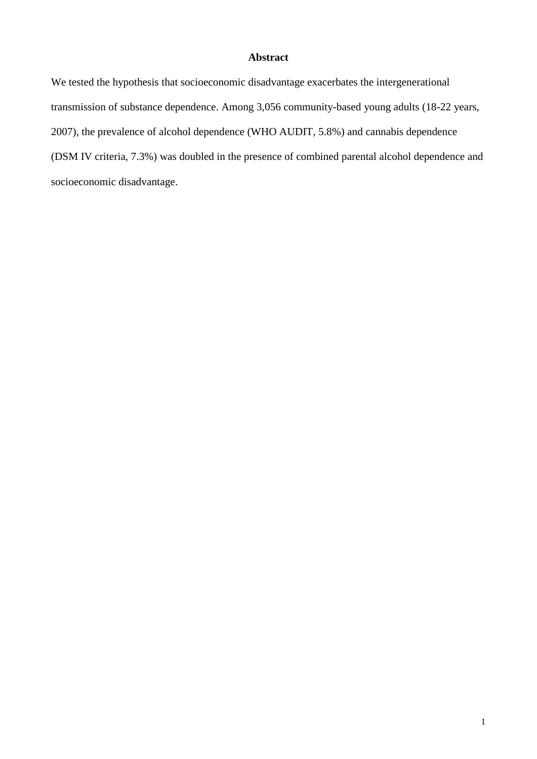## **Abstract**

We tested the hypothesis that socioeconomic disadvantage exacerbates the intergenerational transmission of substance dependence. Among 3,056 community-based young adults (18-22 years, 2007), the prevalence of alcohol dependence (WHO AUDIT, 5.8%) and cannabis dependence (DSM IV criteria, 7.3%) was doubled in the presence of combined parental alcohol dependence and socioeconomic disadvantage.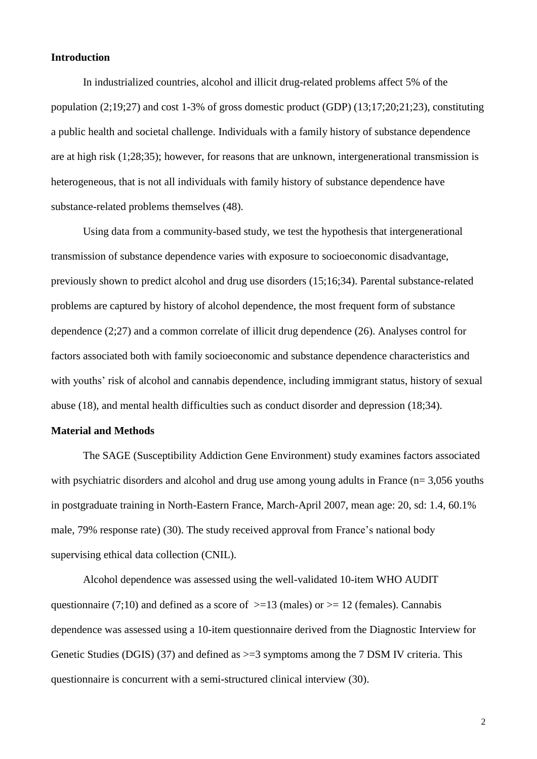#### **Introduction**

In industrialized countries, alcohol and illicit drug-related problems affect 5% of the population (2;19;27) and cost 1-3% of gross domestic product (GDP) (13;17;20;21;23), constituting a public health and societal challenge. Individuals with a family history of substance dependence are at high risk (1;28;35); however, for reasons that are unknown, intergenerational transmission is heterogeneous, that is not all individuals with family history of substance dependence have substance-related problems themselves (48).

Using data from a community-based study, we test the hypothesis that intergenerational transmission of substance dependence varies with exposure to socioeconomic disadvantage, previously shown to predict alcohol and drug use disorders (15;16;34). Parental substance-related problems are captured by history of alcohol dependence, the most frequent form of substance dependence (2;27) and a common correlate of illicit drug dependence (26). Analyses control for factors associated both with family socioeconomic and substance dependence characteristics and with youths' risk of alcohol and cannabis dependence, including immigrant status, history of sexual abuse (18), and mental health difficulties such as conduct disorder and depression (18;34).

#### **Material and Methods**

The SAGE (Susceptibility Addiction Gene Environment) study examines factors associated with psychiatric disorders and alcohol and drug use among young adults in France (n= 3,056 youths in postgraduate training in North-Eastern France, March-April 2007, mean age: 20, sd: 1.4, 60.1% male, 79% response rate) (30). The study received approval from France's national body supervising ethical data collection (CNIL).

Alcohol dependence was assessed using the well-validated 10-item WHO AUDIT questionnaire (7;10) and defined as a score of  $>=13$  (males) or  $>= 12$  (females). Cannabis dependence was assessed using a 10-item questionnaire derived from the Diagnostic Interview for Genetic Studies (DGIS) (37) and defined as  $\geq$ =3 symptoms among the 7 DSM IV criteria. This questionnaire is concurrent with a semi-structured clinical interview (30).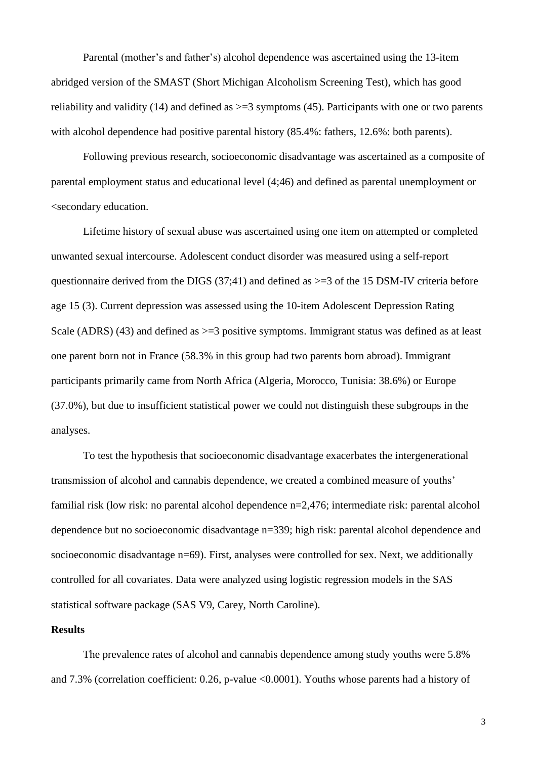Parental (mother's and father's) alcohol dependence was ascertained using the 13-item abridged version of the SMAST (Short Michigan Alcoholism Screening Test), which has good reliability and validity (14) and defined as  $\geq$  3 symptoms (45). Participants with one or two parents with alcohol dependence had positive parental history (85.4%: fathers, 12.6%: both parents).

Following previous research, socioeconomic disadvantage was ascertained as a composite of parental employment status and educational level (4;46) and defined as parental unemployment or <secondary education.

Lifetime history of sexual abuse was ascertained using one item on attempted or completed unwanted sexual intercourse. Adolescent conduct disorder was measured using a self-report questionnaire derived from the DIGS (37:41) and defined as  $\geq$ =3 of the 15 DSM-IV criteria before age 15 (3). Current depression was assessed using the 10-item Adolescent Depression Rating Scale (ADRS) (43) and defined as  $\geq$ =3 positive symptoms. Immigrant status was defined as at least one parent born not in France (58.3% in this group had two parents born abroad). Immigrant participants primarily came from North Africa (Algeria, Morocco, Tunisia: 38.6%) or Europe (37.0%), but due to insufficient statistical power we could not distinguish these subgroups in the analyses.

To test the hypothesis that socioeconomic disadvantage exacerbates the intergenerational transmission of alcohol and cannabis dependence, we created a combined measure of youths' familial risk (low risk: no parental alcohol dependence n=2,476; intermediate risk: parental alcohol dependence but no socioeconomic disadvantage n=339; high risk: parental alcohol dependence and socioeconomic disadvantage n=69). First, analyses were controlled for sex. Next, we additionally controlled for all covariates. Data were analyzed using logistic regression models in the SAS statistical software package (SAS V9, Carey, North Caroline).

#### **Results**

The prevalence rates of alcohol and cannabis dependence among study youths were 5.8% and 7.3% (correlation coefficient: 0.26, p-value <0.0001). Youths whose parents had a history of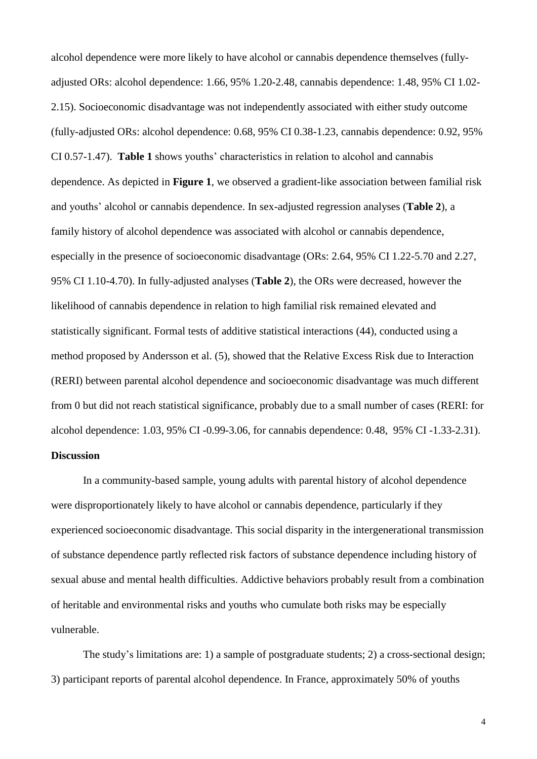alcohol dependence were more likely to have alcohol or cannabis dependence themselves (fullyadjusted ORs: alcohol dependence: 1.66, 95% 1.20-2.48, cannabis dependence: 1.48, 95% CI 1.02- 2.15). Socioeconomic disadvantage was not independently associated with either study outcome (fully-adjusted ORs: alcohol dependence: 0.68, 95% CI 0.38-1.23, cannabis dependence: 0.92, 95% CI 0.57-1.47). **Table 1** shows youths' characteristics in relation to alcohol and cannabis dependence. As depicted in **Figure 1**, we observed a gradient-like association between familial risk and youths' alcohol or cannabis dependence. In sex-adjusted regression analyses (**Table 2**), a family history of alcohol dependence was associated with alcohol or cannabis dependence, especially in the presence of socioeconomic disadvantage (ORs: 2.64, 95% CI 1.22-5.70 and 2.27, 95% CI 1.10-4.70). In fully-adjusted analyses (**Table 2**), the ORs were decreased, however the likelihood of cannabis dependence in relation to high familial risk remained elevated and statistically significant. Formal tests of additive statistical interactions (44), conducted using a method proposed by Andersson et al. (5), showed that the Relative Excess Risk due to Interaction (RERI) between parental alcohol dependence and socioeconomic disadvantage was much different from 0 but did not reach statistical significance, probably due to a small number of cases (RERI: for alcohol dependence: 1.03, 95% CI -0.99-3.06, for cannabis dependence: 0.48, 95% CI -1.33-2.31). **Discussion**

# In a community-based sample, young adults with parental history of alcohol dependence were disproportionately likely to have alcohol or cannabis dependence, particularly if they experienced socioeconomic disadvantage. This social disparity in the intergenerational transmission of substance dependence partly reflected risk factors of substance dependence including history of sexual abuse and mental health difficulties. Addictive behaviors probably result from a combination of heritable and environmental risks and youths who cumulate both risks may be especially vulnerable.

The study's limitations are: 1) a sample of postgraduate students; 2) a cross-sectional design; 3) participant reports of parental alcohol dependence. In France, approximately 50% of youths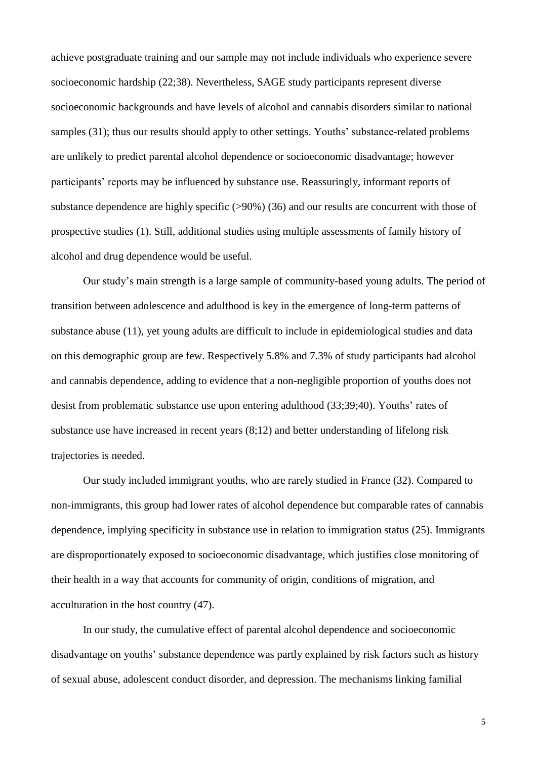achieve postgraduate training and our sample may not include individuals who experience severe socioeconomic hardship (22;38). Nevertheless, SAGE study participants represent diverse socioeconomic backgrounds and have levels of alcohol and cannabis disorders similar to national samples (31); thus our results should apply to other settings. Youths' substance-related problems are unlikely to predict parental alcohol dependence or socioeconomic disadvantage; however participants' reports may be influenced by substance use. Reassuringly, informant reports of substance dependence are highly specific (>90%) (36) and our results are concurrent with those of prospective studies (1). Still, additional studies using multiple assessments of family history of alcohol and drug dependence would be useful.

Our study's main strength is a large sample of community-based young adults. The period of transition between adolescence and adulthood is key in the emergence of long-term patterns of substance abuse (11), yet young adults are difficult to include in epidemiological studies and data on this demographic group are few. Respectively 5.8% and 7.3% of study participants had alcohol and cannabis dependence, adding to evidence that a non-negligible proportion of youths does not desist from problematic substance use upon entering adulthood (33;39;40). Youths' rates of substance use have increased in recent years (8;12) and better understanding of lifelong risk trajectories is needed.

Our study included immigrant youths, who are rarely studied in France (32). Compared to non-immigrants, this group had lower rates of alcohol dependence but comparable rates of cannabis dependence, implying specificity in substance use in relation to immigration status (25). Immigrants are disproportionately exposed to socioeconomic disadvantage, which justifies close monitoring of their health in a way that accounts for community of origin, conditions of migration, and acculturation in the host country (47).

In our study, the cumulative effect of parental alcohol dependence and socioeconomic disadvantage on youths' substance dependence was partly explained by risk factors such as history of sexual abuse, adolescent conduct disorder, and depression. The mechanisms linking familial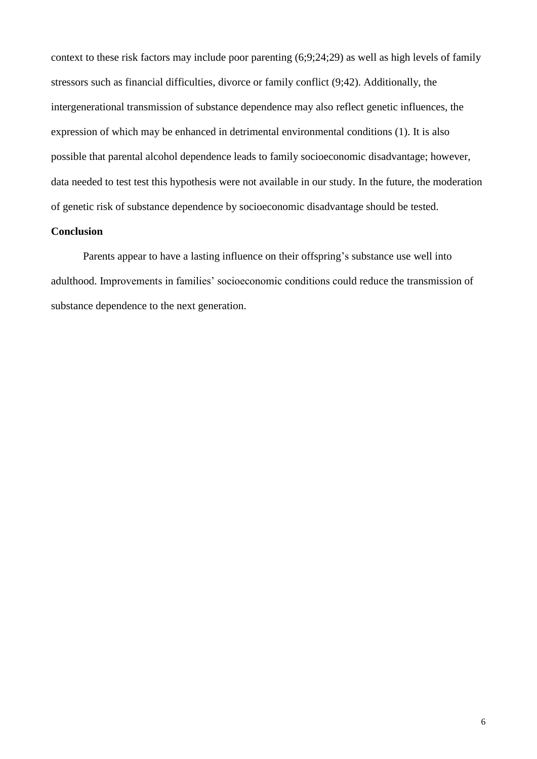context to these risk factors may include poor parenting (6;9;24;29) as well as high levels of family stressors such as financial difficulties, divorce or family conflict (9;42). Additionally, the intergenerational transmission of substance dependence may also reflect genetic influences, the expression of which may be enhanced in detrimental environmental conditions (1). It is also possible that parental alcohol dependence leads to family socioeconomic disadvantage; however, data needed to test test this hypothesis were not available in our study. In the future, the moderation of genetic risk of substance dependence by socioeconomic disadvantage should be tested.

#### **Conclusion**

Parents appear to have a lasting influence on their offspring's substance use well into adulthood. Improvements in families' socioeconomic conditions could reduce the transmission of substance dependence to the next generation.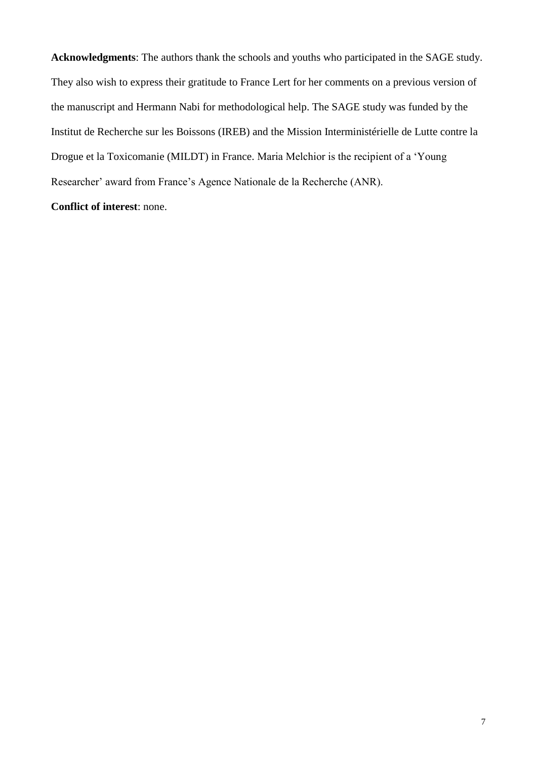**Acknowledgments**: The authors thank the schools and youths who participated in the SAGE study. They also wish to express their gratitude to France Lert for her comments on a previous version of the manuscript and Hermann Nabi for methodological help. The SAGE study was funded by the Institut de Recherche sur les Boissons (IREB) and the Mission Interministérielle de Lutte contre la Drogue et la Toxicomanie (MILDT) in France. Maria Melchior is the recipient of a 'Young Researcher' award from France's Agence Nationale de la Recherche (ANR).

## **Conflict of interest**: none.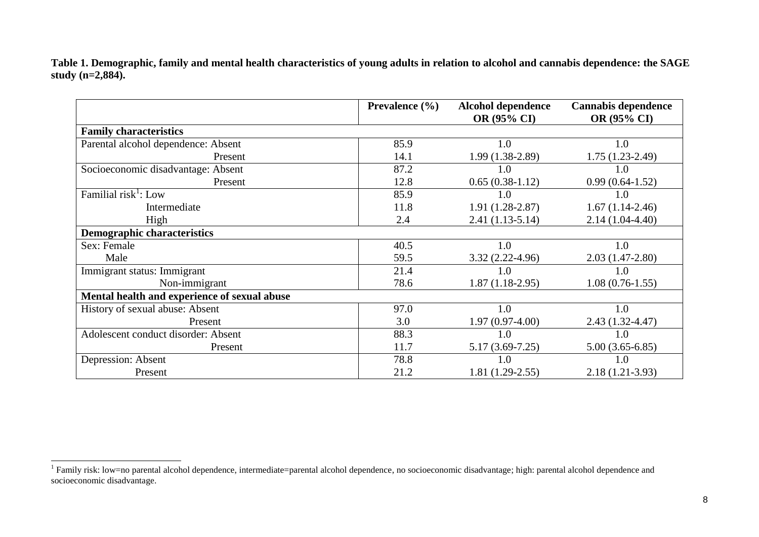**Table 1. Demographic, family and mental health characteristics of young adults in relation to alcohol and cannabis dependence: the SAGE study (n=2,884).**

|                                              | <b>Prevalence</b> $(\% )$ | <b>Alcohol dependence</b><br>OR (95% CI) | <b>Cannabis dependence</b><br>OR (95% CI) |
|----------------------------------------------|---------------------------|------------------------------------------|-------------------------------------------|
| <b>Family characteristics</b>                |                           |                                          |                                           |
| Parental alcohol dependence: Absent          | 85.9                      | 1.0                                      | 1.0                                       |
| Present                                      | 14.1                      | 1.99 (1.38-2.89)                         | $1.75(1.23-2.49)$                         |
| Socioeconomic disadvantage: Absent           | 87.2                      | 1.0                                      | 1.0                                       |
| Present                                      | 12.8                      | $0.65(0.38-1.12)$                        | $0.99(0.64-1.52)$                         |
| Familial risk <sup>1</sup> : Low             | 85.9                      | 1.0                                      | 1.0                                       |
| Intermediate                                 | 11.8                      | $1.91(1.28-2.87)$                        | $1.67(1.14-2.46)$                         |
| High                                         | 2.4                       | $2.41(1.13-5.14)$                        | $2.14(1.04-4.40)$                         |
| <b>Demographic characteristics</b>           |                           |                                          |                                           |
| Sex: Female                                  | 40.5                      | 1.0                                      | 1.0                                       |
| Male                                         | 59.5                      | $3.32(2.22 - 4.96)$                      | $2.03(1.47-2.80)$                         |
| Immigrant status: Immigrant                  | 21.4                      | 1.0                                      | 1.0                                       |
| Non-immigrant                                | 78.6                      | $1.87(1.18-2.95)$                        | $1.08(0.76-1.55)$                         |
| Mental health and experience of sexual abuse |                           |                                          |                                           |
| History of sexual abuse: Absent              | 97.0                      | 1.0                                      | 1.0                                       |
| Present                                      | 3.0                       | $1.97(0.97-4.00)$                        | $2.43(1.32 - 4.47)$                       |
| Adolescent conduct disorder: Absent          | 88.3                      | 1.0                                      | 1.0                                       |
| Present                                      | 11.7                      | $5.17(3.69-7.25)$                        | $5.00(3.65-6.85)$                         |
| Depression: Absent                           | 78.8                      | 1.0                                      | 1.0                                       |
| Present                                      | 21.2                      | $1.81(1.29-2.55)$                        | $2.18(1.21-3.93)$                         |

<sup>1&</sup>lt;br><sup>1</sup> Family risk: low=no parental alcohol dependence, intermediate=parental alcohol dependence, no socioeconomic disadvantage; high: parental alcohol dependence and socioeconomic disadvantage.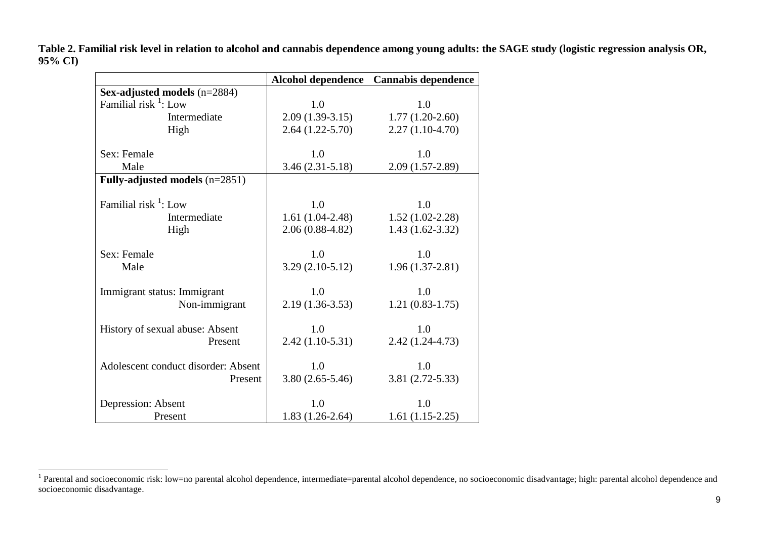|                                     |                   | Alcohol dependence Cannabis dependence |
|-------------------------------------|-------------------|----------------------------------------|
| Sex-adjusted models (n=2884)        |                   |                                        |
| Familial risk $\frac{1}{1}$ : Low   | 1.0               | 1.0                                    |
| Intermediate                        | $2.09(1.39-3.15)$ | $1.77(1.20-2.60)$                      |
| High                                | $2.64(1.22-5.70)$ | $2.27(1.10-4.70)$                      |
| Sex: Female                         | 1.0               | 1.0                                    |
| Male                                | $3.46(2.31-5.18)$ | $2.09(1.57-2.89)$                      |
| Fully-adjusted models (n=2851)      |                   |                                        |
| Familial risk $\frac{1}{1}$ : Low   | 1.0               | 1.0                                    |
| Intermediate                        | $1.61(1.04-2.48)$ | $1.52(1.02-2.28)$                      |
| High                                | $2.06(0.88-4.82)$ | $1.43(1.62 - 3.32)$                    |
| Sex: Female                         | 1.0               | 1.0                                    |
| Male                                | $3.29(2.10-5.12)$ | $1.96(1.37-2.81)$                      |
| Immigrant status: Immigrant         | 1.0               | 1.0                                    |
| Non-immigrant                       | $2.19(1.36-3.53)$ | $1.21(0.83-1.75)$                      |
| History of sexual abuse: Absent     | 1.0               | 1.0                                    |
| Present                             | $2.42(1.10-5.31)$ | $2.42(1.24 - 4.73)$                    |
| Adolescent conduct disorder: Absent | 1.0               | 1.0                                    |
| Present                             | $3.80(2.65-5.46)$ | $3.81(2.72 - 5.33)$                    |
| Depression: Absent                  | 1.0               | 1.0                                    |
| Present                             | $1.83(1.26-2.64)$ | $1.61(1.15-2.25)$                      |

**Table 2. Familial risk level in relation to alcohol and cannabis dependence among young adults: the SAGE study (logistic regression analysis OR, 95% CI)**

<sup>&</sup>lt;sup>1</sup> Parental and socioeconomic risk: low=no parental alcohol dependence, intermediate=parental alcohol dependence, no socioeconomic disadvantage; high: parental alcohol dependence and socioeconomic disadvantage.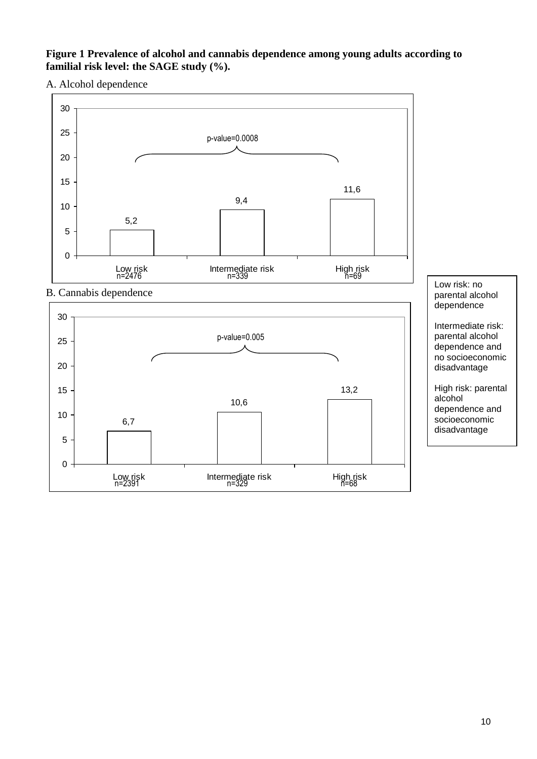## **Figure 1 Prevalence of alcohol and cannabis dependence among young adults according to familial risk level: the SAGE study (%).**

A. Alcohol dependence

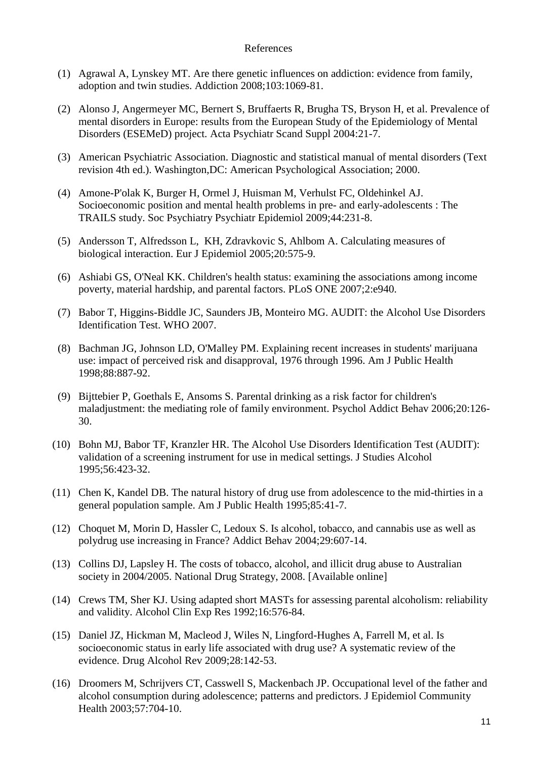#### References

- (1) Agrawal A, Lynskey MT. Are there genetic influences on addiction: evidence from family, adoption and twin studies. Addiction 2008;103:1069-81.
- (2) Alonso J, Angermeyer MC, Bernert S, Bruffaerts R, Brugha TS, Bryson H, et al. Prevalence of mental disorders in Europe: results from the European Study of the Epidemiology of Mental Disorders (ESEMeD) project. Acta Psychiatr Scand Suppl 2004:21-7.
- (3) American Psychiatric Association. Diagnostic and statistical manual of mental disorders (Text revision 4th ed.). Washington,DC: American Psychological Association; 2000.
- (4) Amone-P'olak K, Burger H, Ormel J, Huisman M, Verhulst FC, Oldehinkel AJ. Socioeconomic position and mental health problems in pre- and early-adolescents : The TRAILS study. Soc Psychiatry Psychiatr Epidemiol 2009;44:231-8.
- (5) Andersson T, Alfredsson L, KH, Zdravkovic S, Ahlbom A. Calculating measures of biological interaction. Eur J Epidemiol 2005;20:575-9.
- (6) Ashiabi GS, O'Neal KK. Children's health status: examining the associations among income poverty, material hardship, and parental factors. PLoS ONE 2007;2:e940.
- (7) Babor T, Higgins-Biddle JC, Saunders JB, Monteiro MG. AUDIT: the Alcohol Use Disorders Identification Test. WHO 2007.
- (8) Bachman JG, Johnson LD, O'Malley PM. Explaining recent increases in students' marijuana use: impact of perceived risk and disapproval, 1976 through 1996. Am J Public Health 1998;88:887-92.
- (9) Bijttebier P, Goethals E, Ansoms S. Parental drinking as a risk factor for children's maladjustment: the mediating role of family environment. Psychol Addict Behav 2006;20:126- 30.
- (10) Bohn MJ, Babor TF, Kranzler HR. The Alcohol Use Disorders Identification Test (AUDIT): validation of a screening instrument for use in medical settings. J Studies Alcohol 1995;56:423-32.
- (11) Chen K, Kandel DB. The natural history of drug use from adolescence to the mid-thirties in a general population sample. Am J Public Health 1995;85:41-7.
- (12) Choquet M, Morin D, Hassler C, Ledoux S. Is alcohol, tobacco, and cannabis use as well as polydrug use increasing in France? Addict Behav 2004;29:607-14.
- (13) Collins DJ, Lapsley H. The costs of tobacco, alcohol, and illicit drug abuse to Australian society in 2004/2005. National Drug Strategy, 2008. [Available online]
- (14) Crews TM, Sher KJ. Using adapted short MASTs for assessing parental alcoholism: reliability and validity. Alcohol Clin Exp Res 1992;16:576-84.
- (15) Daniel JZ, Hickman M, Macleod J, Wiles N, Lingford-Hughes A, Farrell M, et al. Is socioeconomic status in early life associated with drug use? A systematic review of the evidence. Drug Alcohol Rev 2009;28:142-53.
- (16) Droomers M, Schrijvers CT, Casswell S, Mackenbach JP. Occupational level of the father and alcohol consumption during adolescence; patterns and predictors. J Epidemiol Community Health 2003;57:704-10.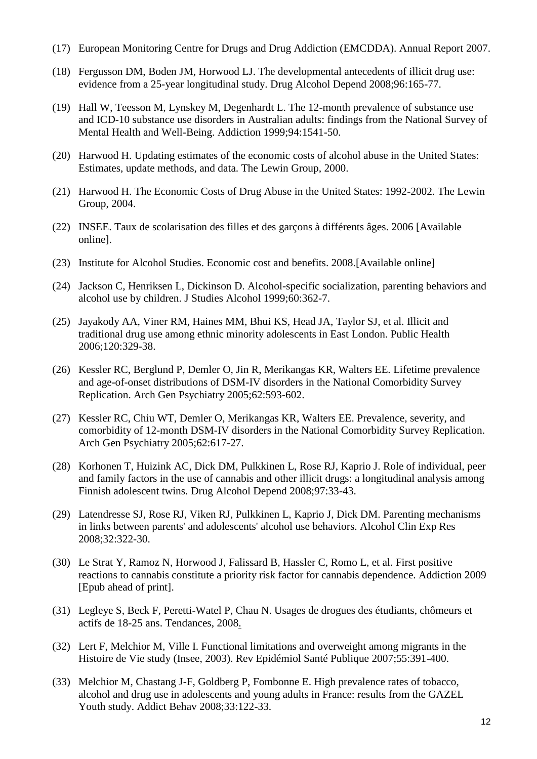- (17) European Monitoring Centre for Drugs and Drug Addiction (EMCDDA). Annual Report 2007.
- (18) Fergusson DM, Boden JM, Horwood LJ. The developmental antecedents of illicit drug use: evidence from a 25-year longitudinal study. Drug Alcohol Depend 2008;96:165-77.
- (19) Hall W, Teesson M, Lynskey M, Degenhardt L. The 12-month prevalence of substance use and ICD-10 substance use disorders in Australian adults: findings from the National Survey of Mental Health and Well-Being. Addiction 1999;94:1541-50.
- (20) Harwood H. Updating estimates of the economic costs of alcohol abuse in the United States: Estimates, update methods, and data. The Lewin Group, 2000.
- (21) Harwood H. The Economic Costs of Drug Abuse in the United States: 1992-2002. The Lewin Group, 2004.
- (22) INSEE. Taux de scolarisation des filles et des garçons à différents âges. 2006 [Available online].
- (23) Institute for Alcohol Studies. Economic cost and benefits. 2008.[Available online]
- (24) Jackson C, Henriksen L, Dickinson D. Alcohol-specific socialization, parenting behaviors and alcohol use by children. J Studies Alcohol 1999;60:362-7.
- (25) Jayakody AA, Viner RM, Haines MM, Bhui KS, Head JA, Taylor SJ, et al. Illicit and traditional drug use among ethnic minority adolescents in East London. Public Health 2006;120:329-38.
- (26) Kessler RC, Berglund P, Demler O, Jin R, Merikangas KR, Walters EE. Lifetime prevalence and age-of-onset distributions of DSM-IV disorders in the National Comorbidity Survey Replication. Arch Gen Psychiatry 2005;62:593-602.
- (27) Kessler RC, Chiu WT, Demler O, Merikangas KR, Walters EE. Prevalence, severity, and comorbidity of 12-month DSM-IV disorders in the National Comorbidity Survey Replication. Arch Gen Psychiatry 2005;62:617-27.
- (28) Korhonen T, Huizink AC, Dick DM, Pulkkinen L, Rose RJ, Kaprio J. Role of individual, peer and family factors in the use of cannabis and other illicit drugs: a longitudinal analysis among Finnish adolescent twins. Drug Alcohol Depend 2008;97:33-43.
- (29) Latendresse SJ, Rose RJ, Viken RJ, Pulkkinen L, Kaprio J, Dick DM. Parenting mechanisms in links between parents' and adolescents' alcohol use behaviors. Alcohol Clin Exp Res 2008;32:322-30.
- (30) Le Strat Y, Ramoz N, Horwood J, Falissard B, Hassler C, Romo L, et al. First positive reactions to cannabis constitute a priority risk factor for cannabis dependence. Addiction 2009 [Epub ahead of print].
- (31) Legleye S, Beck F, Peretti-Watel P, Chau N. Usages de drogues des étudiants, chômeurs et actifs de 18-25 ans. Tendances, 2008.
- (32) Lert F, Melchior M, Ville I. Functional limitations and overweight among migrants in the Histoire de Vie study (Insee, 2003). Rev Epidémiol Santé Publique 2007;55:391-400.
- (33) Melchior M, Chastang J-F, Goldberg P, Fombonne E. High prevalence rates of tobacco, alcohol and drug use in adolescents and young adults in France: results from the GAZEL Youth study. Addict Behav 2008;33:122-33.